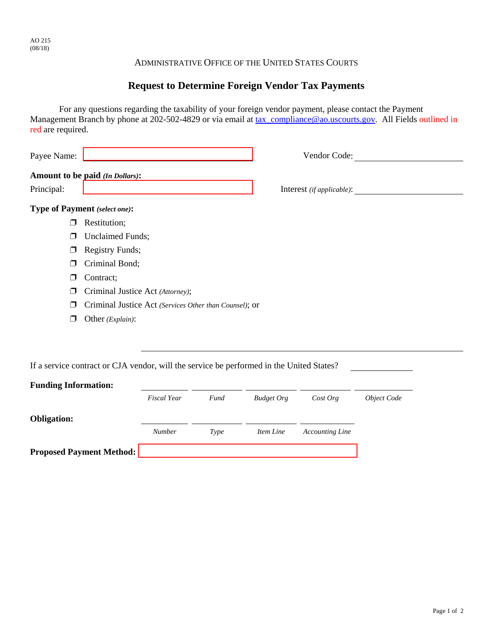## ADMINISTRATIVE OFFICE OF THE UNITED STATES COURTS

## **Request to Determine Foreign Vendor Tax Payments**

For any questions regarding the taxability of your foreign vendor payment, please contact the Payment Management Branch by phone at 202-502-4829 or via email at tax\_compliance@ao.uscourts.gov. All Fields outlined in red are required.

| Payee Name: |                                        | Vendor Code:                |  |
|-------------|----------------------------------------|-----------------------------|--|
| Principal:  | <b>Amount to be paid (In Dollars):</b> | Interest $(ifappliedble)$ : |  |
|             | <b>Type of Payment</b> (select one):   |                             |  |
| ◻           | Restitution;                           |                             |  |
| ◘           | <b>Unclaimed Funds;</b>                |                             |  |
| ◻           | <b>Registry Funds;</b>                 |                             |  |
| ⊓           | Criminal Bond;                         |                             |  |
|             | Contract;                              |                             |  |

- ' Criminal Justice Act *(Attorney)*;
- ' Criminal Justice Act *(Services Other than Counsel)*; or
- ' Other *(Explain)*:

If a service contract or CJA vendor, will the service be performed in the United States?

| <b>Funding Information:</b>     |                    |      |                   |                        |             |
|---------------------------------|--------------------|------|-------------------|------------------------|-------------|
|                                 | <b>Fiscal Year</b> | Fund | <b>Budget Org</b> | Cost Org               | Object Code |
| <b>Obligation:</b>              |                    |      |                   |                        |             |
|                                 | <b>Number</b>      | Type | Item Line         | <b>Accounting Line</b> |             |
| <b>Proposed Payment Method:</b> |                    |      |                   |                        |             |